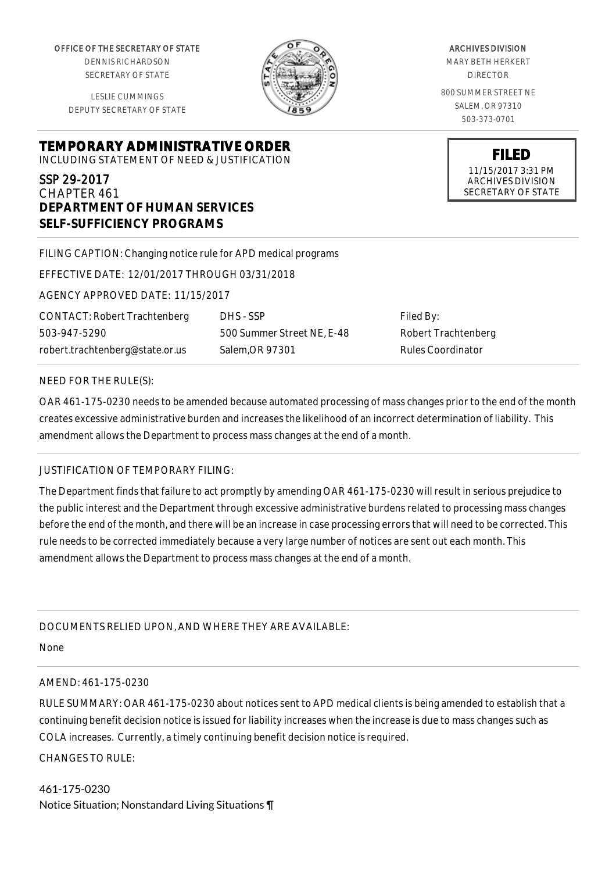OFFICE OF THE SECRETARY OF STATE

DENNIS RICHARDSON SECRETARY OF STATE

LESLIE CUMMINGS DEPUTY SECRETARY OF STATE

# **TEMPORARY ADMINISTRATIVE ORDER**

INCLUDING STATEMENT OF NEED & JUSTIFICATION

## SSP 29-2017 CHAPTER 461 **DEPARTMENT OF HUMAN SERVICES SELF-SUFFICIENCY PROGRAMS**

FILING CAPTION: Changing notice rule for APD medical programs

EFFECTIVE DATE: 12/01/2017 THROUGH 03/31/2018

AGENCY APPROVED DATE: 11/15/2017

CONTACT: Robert Trachtenberg 503-947-5290 robert.trachtenberg@state.or.us

500 Summer Street NE, E-48 Salem,OR 97301

DHS - SSP

Filed By: Robert Trachtenberg Rules Coordinator

### NEED FOR THE RULE(S):

OAR 461-175-0230 needs to be amended because automated processing of mass changes prior to the end of the month creates excessive administrative burden and increases the likelihood of an incorrect determination of liability. This amendment allows the Department to process mass changes at the end of a month.

## JUSTIFICATION OF TEMPORARY FILING:

The Department finds that failure to act promptly by amending OAR 461-175-0230 will result in serious prejudice to the public interest and the Department through excessive administrative burdens related to processing mass changes before the end of the month, and there will be an increase in case processing errors that will need to be corrected. This rule needs to be corrected immediately because a very large number of notices are sent out each month. This amendment allows the Department to process mass changes at the end of a month.

DOCUMENTS RELIED UPON, AND WHERE THEY ARE AVAILABLE:

None

#### AMEND: 461-175-0230

RULE SUMMARY: OAR 461-175-0230 about notices sent to APD medical clients is being amended to establish that a continuing benefit decision notice is issued for liability increases when the increase is due to mass changes such as COLA increases. Currently, a timely continuing benefit decision notice is required.

CHANGES TO RULE:

461-175-0230 Notice Situation; Nonstandard Living Situations ¶



ARCHIVES DIVISION MARY BETH HERKERT DIRECTOR 800 SUMMER STREET NE SALEM, OR 97310 503-373-0701

> **FILED** 11/15/2017 3:31 PM ARCHIVES DIVISION SECRETARY OF STATE